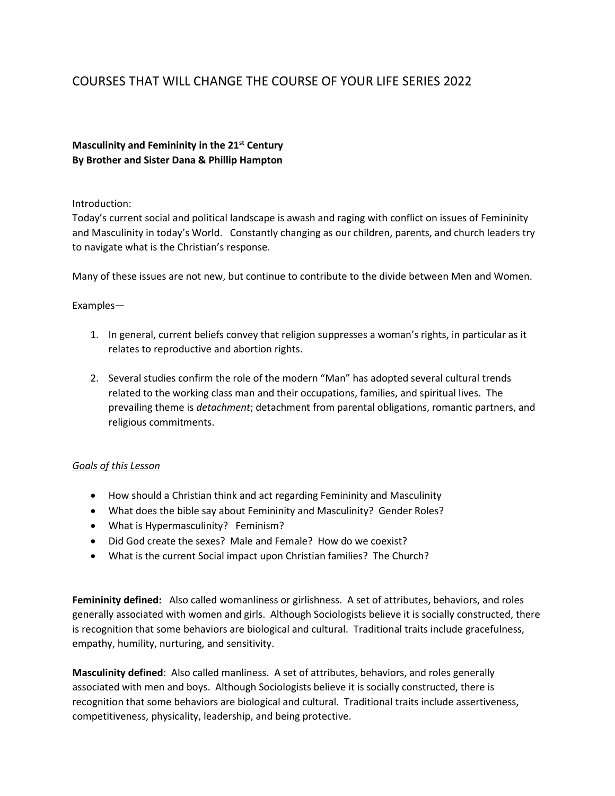# COURSES THAT WILL CHANGE THE COURSE OF YOUR LIFE SERIES 2022

## **Masculinity and Femininity in the 21st Century By Brother and Sister Dana & Phillip Hampton**

#### Introduction:

Today's current social and political landscape is awash and raging with conflict on issues of Femininity and Masculinity in today's World. Constantly changing as our children, parents, and church leaders try to navigate what is the Christian's response.

Many of these issues are not new, but continue to contribute to the divide between Men and Women.

### Examples—

- 1. In general, current beliefs convey that religion suppresses a woman's rights, in particular as it relates to reproductive and abortion rights.
- 2. Several studies confirm the role of the modern "Man" has adopted several cultural trends related to the working class man and their occupations, families, and spiritual lives. The prevailing theme is *detachment*; detachment from parental obligations, romantic partners, and religious commitments.

### *Goals of this Lesson*

- How should a Christian think and act regarding Femininity and Masculinity
- What does the bible say about Femininity and Masculinity? Gender Roles?
- What is Hypermasculinity? Feminism?
- Did God create the sexes? Male and Female? How do we coexist?
- What is the current Social impact upon Christian families? The Church?

**Femininity defined:** Also called womanliness or girlishness. A set of attributes, behaviors, and roles generally associated with women and girls. Although Sociologists believe it is socially constructed, there is recognition that some behaviors are biological and cultural. Traditional traits include gracefulness, empathy, humility, nurturing, and sensitivity.

**Masculinity defined**: Also called manliness. A set of attributes, behaviors, and roles generally associated with men and boys. Although Sociologists believe it is socially constructed, there is recognition that some behaviors are biological and cultural. Traditional traits include assertiveness, competitiveness, physicality, leadership, and being protective.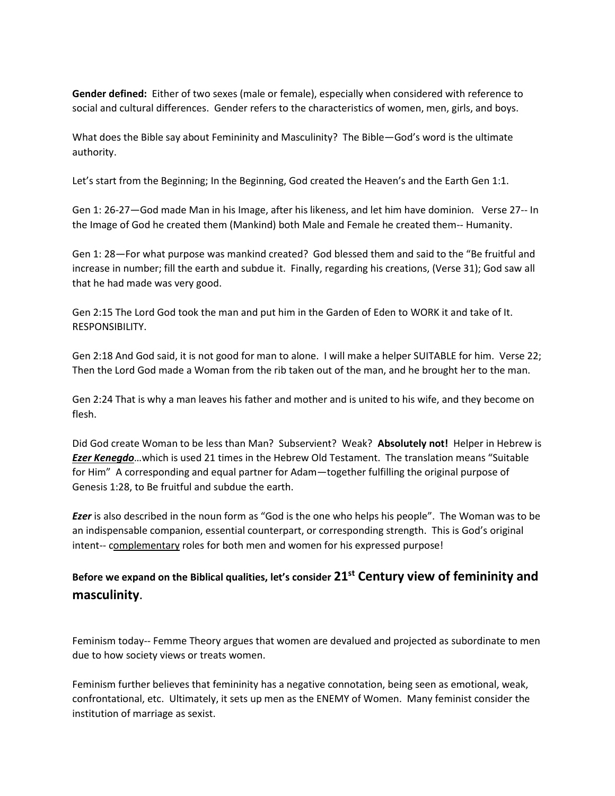**Gender defined:** Either of two sexes (male or female), especially when considered with reference to social and cultural differences. Gender refers to the characteristics of women, men, girls, and boys.

What does the Bible say about Femininity and Masculinity? The Bible—God's word is the ultimate authority.

Let's start from the Beginning; In the Beginning, God created the Heaven's and the Earth Gen 1:1.

Gen 1: 26-27—God made Man in his Image, after his likeness, and let him have dominion. Verse 27-- In the Image of God he created them (Mankind) both Male and Female he created them-- Humanity.

Gen 1: 28—For what purpose was mankind created? God blessed them and said to the "Be fruitful and increase in number; fill the earth and subdue it. Finally, regarding his creations, (Verse 31); God saw all that he had made was very good.

Gen 2:15 The Lord God took the man and put him in the Garden of Eden to WORK it and take of It. RESPONSIBILITY.

Gen 2:18 And God said, it is not good for man to alone. I will make a helper SUITABLE for him. Verse 22; Then the Lord God made a Woman from the rib taken out of the man, and he brought her to the man.

Gen 2:24 That is why a man leaves his father and mother and is united to his wife, and they become on flesh.

Did God create Woman to be less than Man? Subservient? Weak? **Absolutely not!** Helper in Hebrew is *Ezer Kenegdo*…which is used 21 times in the Hebrew Old Testament. The translation means "Suitable for Him" A corresponding and equal partner for Adam—together fulfilling the original purpose of Genesis 1:28, to Be fruitful and subdue the earth.

*Ezer* is also described in the noun form as "God is the one who helps his people". The Woman was to be an indispensable companion, essential counterpart, or corresponding strength. This is God's original intent-- complementary roles for both men and women for his expressed purpose!

# **Before we expand on the Biblical qualities, let's consider 21st Century view of femininity and masculinity**.

Feminism today-- Femme Theory argues that women are devalued and projected as subordinate to men due to how society views or treats women.

Feminism further believes that femininity has a negative connotation, being seen as emotional, weak, confrontational, etc. Ultimately, it sets up men as the ENEMY of Women. Many feminist consider the institution of marriage as sexist.